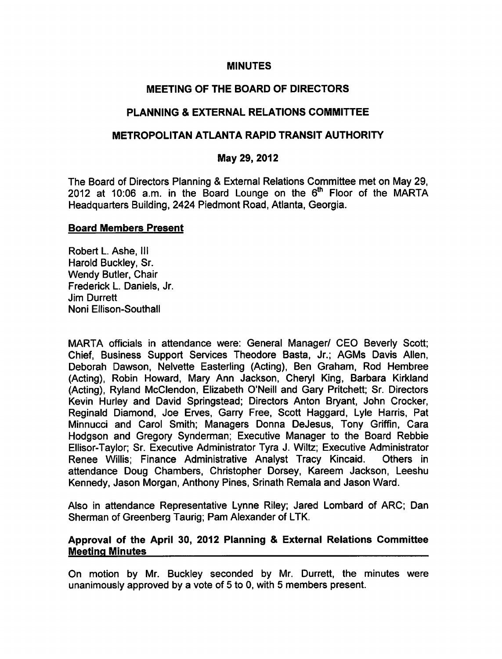#### MINUTES

# MEETING OF THE BOARD OF DIRECTORS

## PLANNING & EXTERNAL RELATIONS COMMITTEE

## METROPOLITAN ATLANTA RAPID TRANSIT AUTHORITY

### May 29, 2012

The Board of Directors Planning & External Relations Committee met on May 29, 2012 at 10:06 a.m. in the Board Lounge on the  $6<sup>th</sup>$  Floor of the MARTA Headquarters Building, 2424 Piedmont Road, Atlanta, Georgia.

#### Board Members Present

Robert L. Ashe, III Harold Buckley, Sr. Wendy Butler, Chair Frederick L. Daniels, Jr. Jim Durrett Noni Ellison-Southall

MARTA officials in attendance were: General Manager/ CEO Beverly Scott; Chief, Business Support Services Theodore Basta, Jr.; AGMs Davis Allen, Deborah Dawson, Nelvette Easterling (Acting), Ben Graham, Rod Hembree (Acting), Robin Howard, Mary Ann Jackson, Cheryl King, Barbara Kirkland (Acting), Ryland McClendon, Elizabeth O'Neill and Gary Pritchett; Sr. Directors Kevin Hurley and David Springstead; Directors Anton Bryant, John Crocker, Reginald Diamond, Joe Erves, Garry Free, Scott Haggard, Lyle Harris, Pat Minnucci and Carol Smith; Managers Donna DeJesus, Tony Griffin, Cara Hodgson and Gregory Synderman; Executive Manager to the Board Rebbie Ellisor-Taylor; Sr. Executive Administrator Tyra J. Wiltz; Executive Administrator Renee Willis; Finance Administrative Analyst Tracy Kincaid. Others in attendance Doug Chambers, Christopher Dorsey, Kareem Jackson, Leeshu Kennedy, Jason Morgan, Anthony Pines, Srinath Remala and Jason Ward.

Also in attendance Representative Lynne Riley; Jared Lombard of ARC; Dan Sherman of Greenberg Taurig; Pam Alexander of LTK.

### Approval of the April 30, 2012 Planning & External Relations Committee Meeting Minutes

On motion by Mr. Buckley seconded by Mr. Durrett, the minutes were unanimously approved by a vote of  $5$  to 0, with  $5$  members present.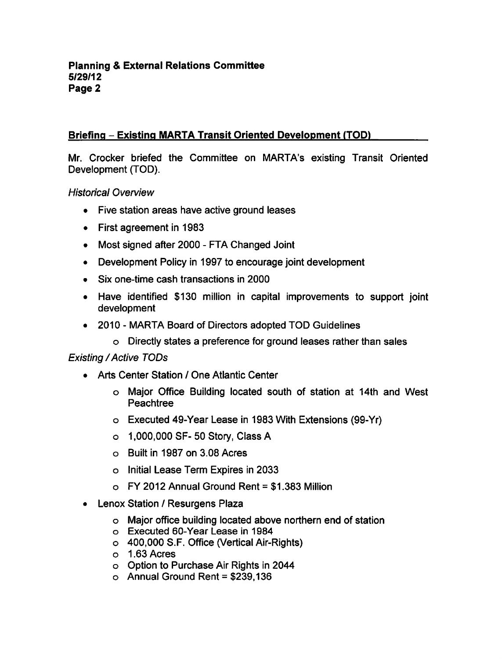# Briefing – Existing MARTA Transit Oriented Development (TOD)

Mr. Crocker briefed the Committee on MARTA's existing Transit Oriented Development (TOD).

Historical Overview

- Five station areas have active ground leases
- First agreement in 1983
- Most signed after 2000 FTA Changed Joint
- Development Policy in 1997 to encourage joint development  $\bullet$
- Six one-time cash transactions in 2000  $\bullet$
- Have identified \$130 million in capital improvements to support joint development
- 2010 MARTA Board of Directors adopted TOD Guidelines
	- o Directly states a preference for ground leases rather than sales

### Existing / Active TODs

- Arts Center Station / One Atlantic Center
	- Major Office Building located south of station at 14th and West Peachtree
	- Executed 49-Year Lease in 1983 With Extensions (99-Yr)
	- 1,000,000 SF- 50 Story, Class
	- Built in 1987 on 3.08 Acres
	- o Initial Lease Term Expires in 2033
	- $\circ$  FY 2012 Annual Ground Rent = \$1,383 Million
- Lenox Station / Resurgens Plaza
	- Major office building located above northern end of station
	- Executed 60-Year Lease in 1984
	- 400,000 S.F. Office (Vertical Air-Rights)
	- 1.63 Acres
	- Option to Purchase Air Rights in 2044
	- $\circ$  Annual Ground Rent = \$239,136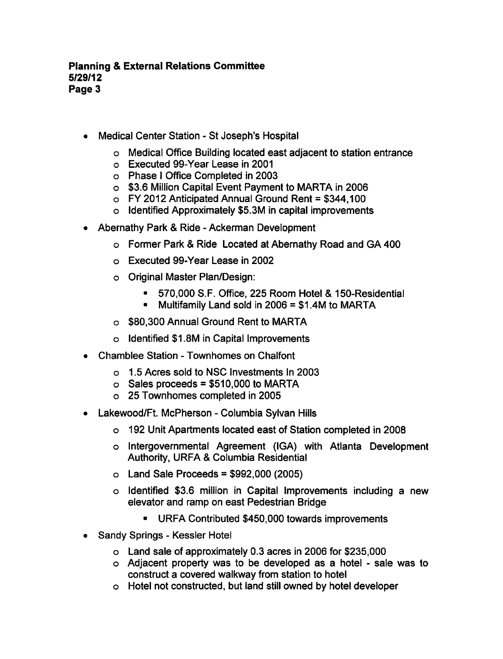- Medical Center Station St Joseph's Hospital  $\bullet$ 
	- Medical Office Building located east adjacent to station entrance
	- Executed 99-Year Lease in 2001
	- o Phase I Office Completed in 2003
	- \$3.6 Million Capital Event Payment to MARTA in 2006
	- $\circ$  FY 2012 Anticipated Annual Ground Rent = \$344,100
	- o Identified Approximately \$5.3M in capital improvements
- Abernathy Park & Ride Ackerman Development
	- o Former Park & Ride Located at Abernathy Road and GA 400
	- Executed 99-Year Lease in 2002
	- Original Master Plan/Design:
		- 570,000 S.F. Office, 225 Room Hotel & 150-Residential
		- Multifamily Land sold in  $2006 = $1.4M$  to MARTA  $\blacksquare$
	- \$80,300 Annual Ground Rent to MARTA
	- o Identified \$1.8M in Capital Improvements
- Chamblee Station Townhomes on Chalfont
	- 1.5 Acres sold to NSC Investments In 2003
	- $\circ$  Sales proceeds = \$510,000 to MARTA
	- 25 Townhomes completed in 2005
- Lakewood/Ft. McPherson Columbia Sylvan Hills
	- 192 Unit Apartments located east of Station completed in 2008
	- Intergovernmental Agreement (IGA) with Atlanta Development Authority, URFA & Columbia Residential
	- $\circ$  Land Sale Proceeds = \$992,000 (2005)
	- $\circ$  Identified \$3.6 million in Capital Improvements including a new elevator and ramp on east Pedestrian Bridge
		- URFA Contributed \$450,000 towards improvements
- Sandy Springs Kessler Hotel
	- Land sale of approximately 0.3 acres in 2006 for \$235,000
	- o Adjacent property was to be developed as a hotel sale was to construct a covered walkway from station to hotel
	- Hotel not constructed, but land still owned by hotel developer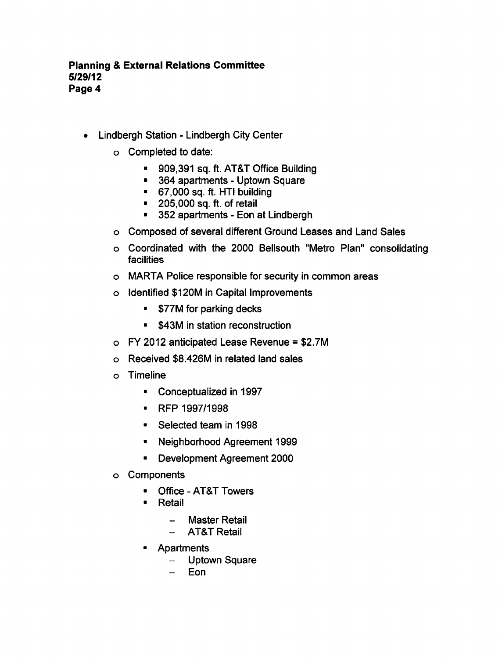- Lindbergh Station Lindbergh City Center  $\bullet$ 
	- Completed to date:
		- 909,391 sq. ft. AT&T Office Building
		- **364 apartments Uptown Square**
		- 67,000 sq. ft. HTI building
		- **205,000 sq. ft. of retail**
		- 352 apartments Eon at Lindbergh
	- Composed of several different Ground Leases and Land Sales
	- Coordinated with the 2000 Bellsouth "Metro Plan" consolidating facilities
	- MARTA Police responsible for security in common areas
	- Identified \$120M in Capital Improvements
		- **\*** \$77M for parking decks
		- **\*** \$43M in station reconstruction
	- $\circ$  FY 2012 anticipated Lease Revenue = \$2.7M
	- Received \$8.426M in related land sales
	- Timeline
		- Conceptualized in 1997  $\blacksquare$
		- RFP 1997/1998
		- Selected team in 1998
		- Neighborhood Agreement 1999
		- Development Agreement 2000  $\blacksquare$
	- Components
		- Office AT&T Towers  $\blacksquare$
		- $\blacksquare$ Retail
			- Master Retail  $\qquad \qquad -$
			- AT&T Retail  $\overline{\phantom{0}}$
		- Apartments  $\blacksquare$ 
			- Uptown Square  $\frac{1}{2}$
			- Eon $\overline{\phantom{0}}$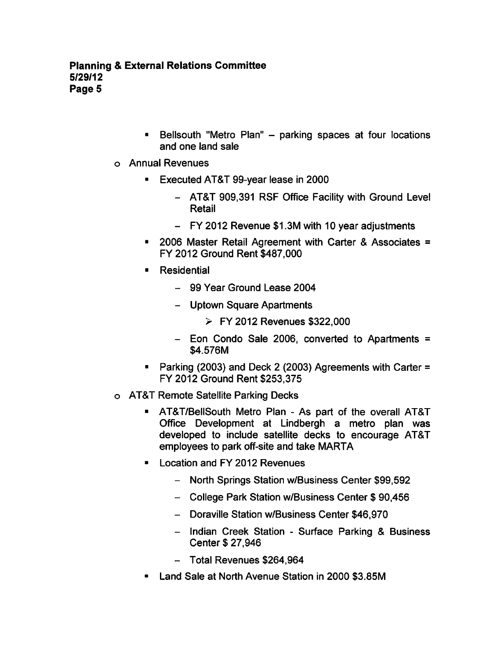- Bellsouth "Metro Plan" parking spaces at four locations  $\blacksquare$ and one land sale
- Annual Revenues
	- $\blacksquare$ Executed AT&T 99-year lease in 2000
		- AT&T 909,391 RSF Office Facility with Ground Level Retail
		- FY 2012 Revenue \$1.3M with 10 year adjustments
	- $\blacksquare$  2006 Master Retail Agreement with Carter & Associates  $\blacksquare$ FY 2012 Ground Rent \$487,000
	- **Residential**  $\blacksquare$ 
		- 99 Year Ground Lease 2004
		- Uptown Square Apartments
			- FY 2012 Revenues \$322,000
		- $-$  Eon Condo Sale 2006, converted to Apartments = \$4.576M
	- Parking (2003) and Deck 2 (2003) Agreements with Carter = FY 2012 Ground Rent \$253,375
- AT&T Remote Satellite Parking Decks
	- $\blacksquare$ AT&T/BellSouth Metro Plan - As part of the overall AT&T Office Development at Lindbergh a metro plan was developed to include satellite decks to encourage AT&T employees to park off-site and take MARTA
	- **E** Location and FY 2012 Revenues
		- North Springs Station w/Business Center \$99,592
		- College Park Station w/Business Center \$90,456
		- Doraville Station w/Business Center \$46,970
		- Indian Creek Station Surface Parking & Business Center \$ 27,946
		- Total Revenues \$264,964
	- Land Sale at North Avenue Station in 2000 S3.85M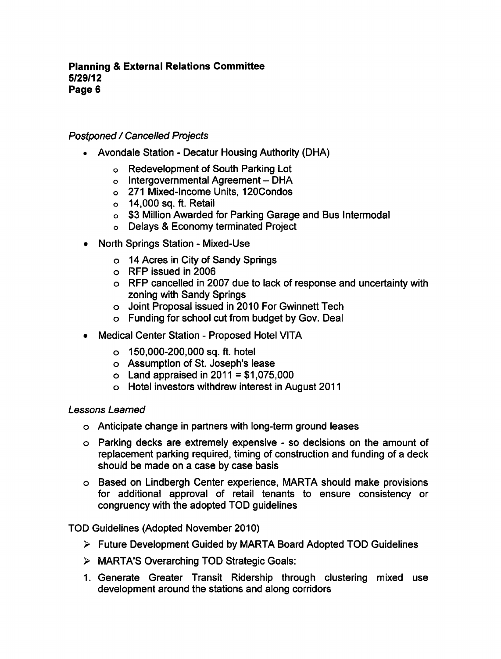# Postponed / Cancelled Projects

- Avondale Station Decatur Housing Authority (DHA)
	- Redevelopment of South Parking Lot
	- $o$  Intergovernmental Agreement DHA
	- 271 Mixed-Income Units, 120Condos
	- $\circ$  14,000 sq. ft. Retail
	- o \$3 Million Awarded for Parking Garage and Bus Intermodal
	- Delays Economy terminated Project
- North Springs Station Mixed-Use
	- 14 Acres in City of Sandy Springs
	- RFP issued in 2006
	- RFP cancelled in 2007 due to lack of response and uncertainty with zoning with Sandy Springs
	- Joint Proposal issued in 2010 For Gwinnett Tech
	- Funding for school cut from budget by Gov. Deal
- Medical Center Station Proposed Hotel VITA
	- 150,000-200,000 sq. ft. hotel
	- Assumption of St. Joseph's lease
	- $\circ$  Land appraised in 2011 = \$1,075,000
	- Hotel investors withdrew interest in August 2011

### Lessons Learned

- Anticipate change in partners with long-term ground leases
- o Parking decks are extremely expensive so decisions on the amount of replacement parking required, timing of construction and funding of a deck should be made on a case by case basis
- Based on Lindbergh Center experience, MARTA should make provisions for additional approval of retail tenants to ensure consistency or congruency with the adopted TOD guidelines

### TOD Guidelines (Adopted November 2010)

- Future Development Guided by MARTA Board Adopted TOD Guidelines
- MARTA'S Overarching TOD Strategic Goals:
- 1. Generate Greater Transit Ridership through clustering mixed use development around the stations and along corridors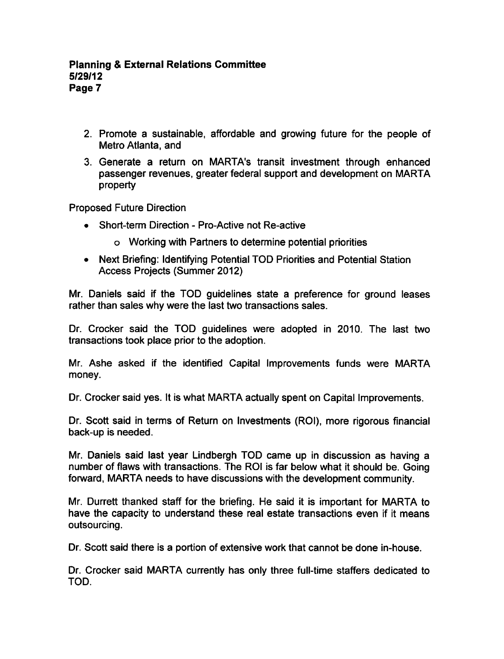- 2. Promote a sustainable, affordable and growing future for the people of Metro Atlanta, and
- 3. Generate a return on MARTA's transit investment through enhanced passenger revenues, greater federal support and development on MARTA property

Proposed Future Direction

- Short-term Direction Pro-Active not Re-active
	- Working with Partners to determine potential priorities
- Next Briefing: Identifying Potential TOD Priorities and Potential Station Access Projects (Summer 2012)

Mr. Daniels said if the TOD guidelines state a preference for ground leases rather than sales why were the last two transactions sales.

Dr. Crocker said the TOD guidelines were adopted in 2010. The last two transactions took place prior to the adoption.

Mr. Ashe asked if the identified Capital Improvements funds were MARTA money.

Dr. Crocker said yes. It is what MARTA actually spent on Capital Improvements.

Dr. Scott said in terms of Return on Investments (ROI), more rigorous financial back-up is needed.

Mr. Daniels said last year Lindbergh TOD came up in discussion as having number of flaws with transactions. The ROI is far below what it should be. Going forward, MARTA needs to have discussions with the development community.

Mr. Durrett thanked staff for the briefing. He said it is important for MARTA to have the capacity to understand these real estate transactions even if it means outsourcing.

Dr. Scott said there is a portion of extensive work that cannot be done in-house.

Dr. Crocker said MARTA currently has only three full-time staffers dedicated to TOD.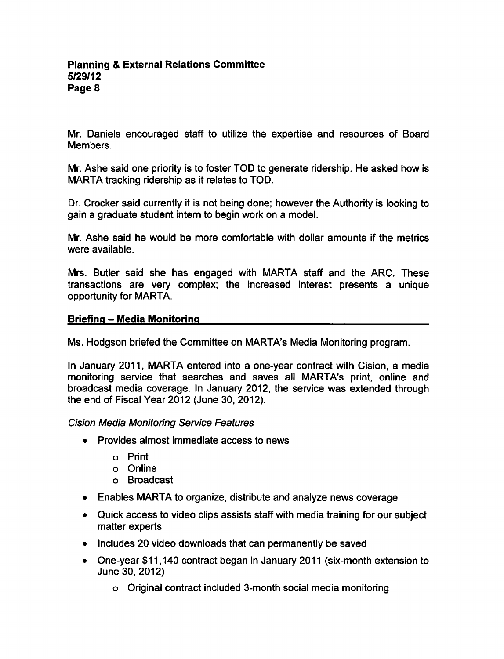Mr. Daniels encouraged staff to utilize the expertise and resources of Board Members.

Mr. Ashe said one priority is to foster TOD to generate ridership. He asked how is MARTA tracking ridership as it relates to TOD.

Dr. Crocker said currently it is not being done; however the Authority is looking to gain a graduate student intern to begin work on a model.

Mr. Ashe said he would be more comfortable with dollar amounts if the metrics were available.

Mrs. Butler said she has engaged with MARTA staff and the ARC. These transactions are very complex; the increased interest presents a unique opportunity for MARTA.

#### Briefing – Media Monitoring

Ms. Hodgson briefed the Committee on MARTA's Media Monitoring program.

In January 2011, MARTA entered into a one-year contract with Cision, a media monitoring service that searches and saves all MARTA's print, online and broadcast media coverage. In January 2012, the service was extended through the end of Fiscal Year 2012 (June 30, 2012).

Cision Media Monitoring Service Features

- Provides almost immediate access to news
	- Print
	- Online
	- Broadcast
- Enables MARTA to organize, distribute and analyze news coverage
- Quick access to video clips assists staff with media training for our subject matter experts
- Includes 20 video downloads that can permanently be saved
- One-year \$11,140 contract began in January 2011 (six-month extension to June 30, 2012)
	- Original contract included 3-month social media monitoring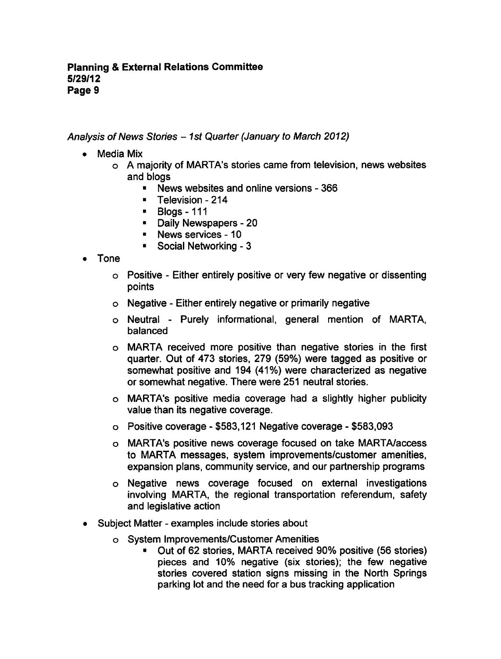Analysis of News Stories - 1st Quarter (January to March 2012)

- Media Mix
	- o A majority of MARTA's stories came from television, news websites and blogs
		- **News websites and online versions 366**
		- **Television 214**
		- Blogs-111
		- **-** Daily Newspapers 20
		- **News services 10**
		- **Social Networking 3**
- Tone
	- Positive Either entirely positive or very few negative or dissenting points
	- Negative Either entirely negative or primarily negative
	- o Neutral Purely informational, general mention of MARTA, balanced
	- MARTA received more positive than negative stories in the first quarter. Out of 473 stories, 279 (59%) were tagged as positive or somewhat positive and 194 (41%) were characterized as negative or somewhat negative. There were 251 neutral stories.
	- MARTA's positive media coverage had slightly higher publicity value than its negative coverage.
	- $\circ$  Positive coverage \$583,121 Negative coverage \$583,093
	- MARTA's positive news coverage focused on take MARTA/access to MARTA messages, system improvements/customer amenities, expansion plans, community service, and our partnership programs
	- Negative news coverage focused on external investigations involving MARTA, the regional transportation referendum, safety and legislative action
- Subject Matter examples include stories about  $\bullet$ 
	- System Improvements/Customer Amenities
		- Out of 62 stories, MARTA received 90% positive (56 stories) pieces and 10% negative (six stories); the few negative stories covered station signs missing in the North Springs parking lot and the need for a bus tracking application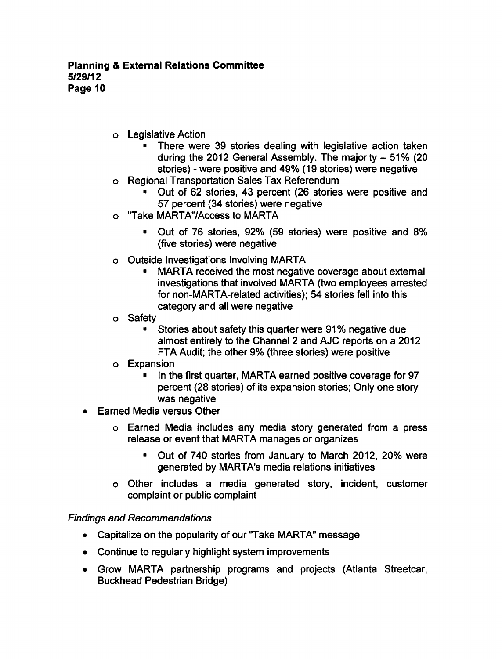- Legislative Action
	- **There were 39 stories dealing with legislative action taken** during the 2012 General Assembly. The majority  $-51\%$  (20 stories) - were positive and 49% (19 stories) were negative
- Regional Transportation Sales Tax Referendum
	- Out of 62 stories, 43 percent (26 stories were positive and 57 percent (34 stories) were negative
- "Take MARTA'VAccess to MARTA  $\Omega$ 
	- Out of 76 stories, 92% (59 stories) were positive and 8% (five stories) were negative
- Outside Investigations Involving MARTA  $\mathbf{o}$ 
	- MARTA received the most negative coverage about external investigations that involved MARTA (two employees arrested for non-MARTA-related activities); 54 stories fell into this category and all were negative
- Safety  $\Omega$ 
	- Stories about safety this quarter were 91% negative due  $\blacksquare$ almost entirely to the Channel 2 and AJC reports on a 2012 FTA Audit; the other 9% (three stories) were positive
- Expansion
	- In the first quarter, MARTA earned positive coverage for 97 percent (28 stories) of its expansion stories; Only one story was negative
- Earned Media versus Other  $\bullet$ 
	- o Earned Media includes any media story generated from a press release or event that MARTA manages or organizes
		- Out of 740 stories from January to March 2012, 20% were generated by MARTA's media relations initiatives
	- o Other includes a media generated story, incident, customer complaint or public complaint

### Findings and Recommendations

- Capitalize on the popularity of our "Take MARTA" message
- Continue to regularly highlight system improvements
- Grow MARTA partnership programs and projects (Atlanta Streetcar, Buckhead Pedestrian Bridge)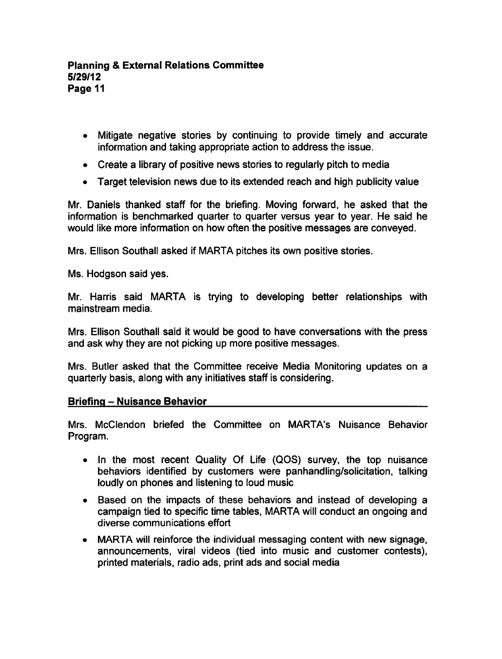- Mitigate negative stories by continuing to provide timely and accurate information and taking appropriate action to address the issue.
- Create a library of positive news stories to regularly pitch to media
- Target television news due to its extended reach and high publicity value

Mr. Daniels thanked staff for the briefing. Moving forward, he asked that the information is benchmarked quarter to quarter versus year to year. He said he would like more information on how often the positive messages are conveyed.

Mrs. Ellison Southall asked if MARTA pitches its own positive stories.

Ms. Hodgson said yes.

Mr. Harris said MARTA is trying to developing better relationships with mainstream media.

Mrs. Ellison Southall said it would be good to have conversations with the press and ask why they are not picking up more positive messages.

Mrs. Butler asked that the Committee receive Media Monitoring updates on quarterly basis, along with any initiatives staff is considering.

### Briefing - Nuisance Behavior

Mrs. McClendon briefed the Committee on MARTA's Nuisance Behavior Program.

- In the most recent Quality Of Life (QOS) survey, the top nuisance behaviors identified by customers were panhandling/solicitation, talking loudly on phones and listening to loud music
- Based on the impacts of these behaviors and instead of developing a campaign tied to specific time tables, MARTA will conduct an ongoing and diverse communications effort
- MARTA will reinforce the individual messaging content with new signage, announcements, viral videos (tied into music and customer contests), printed materials, radio ads, print ads and social media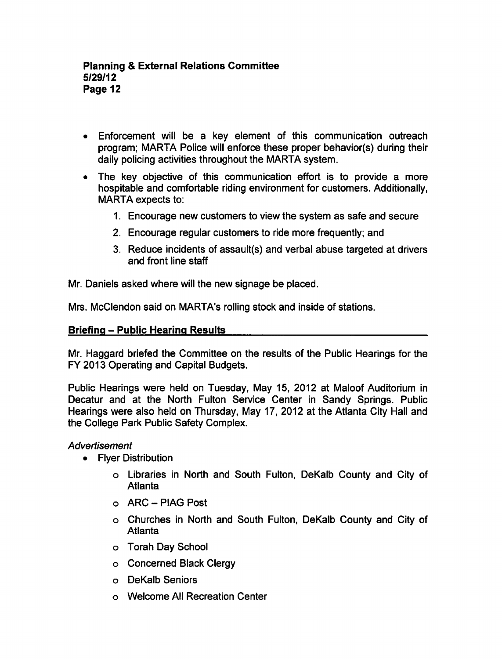- Enforcement will be a key element of this communication outreach program; MARTA Police will enforce these proper behavior(s) during their daily policing activities throughout the MARTA system.
- $\bullet$  The key objective of this communication effort is to provide a more hospitable and comfortable riding environment for customers. Additionally, MARTA expects to:
	- 1. Encourage new customers to view the system as safe and secure
	- 2. Encourage regular customers to ride more frequently; and
	- 3. Reduce incidents of assault(s) and verbal abuse targeted at drivers and front line staff

Mr. Daniels asked where will the new signage be placed.

Mrs. McClendon said on MARTA's rolling stock and inside of stations.

### **Briefing - Public Hearing Results**

Mr. Haggard briefed the Committee on the results of the Public Hearings for the FY 2013 Operating and Capital Budgets.

Public Hearings were held on Tuesday, May 15, 2012 at Maloof Auditorium in Decatur and at the North Fulton Service Center in Sandy Springs. Public Hearings were also held on Thursday, May 17, 2012 at the Atlanta City Hall and the College Park Public Safety Complex.

### **Advertisement**

- Fiver Distribution
	- Libraries in North and South Fulton, DeKalb County and City of **Atlanta**
	- ARC-PIAG Post
	- Churches in North and South Fulton, DeKalb County and City of Atlanta
	- Torah Day School
	- o Concerned Black Clergy
	- DeKalb Seniors
	- Welcome All Recreation Center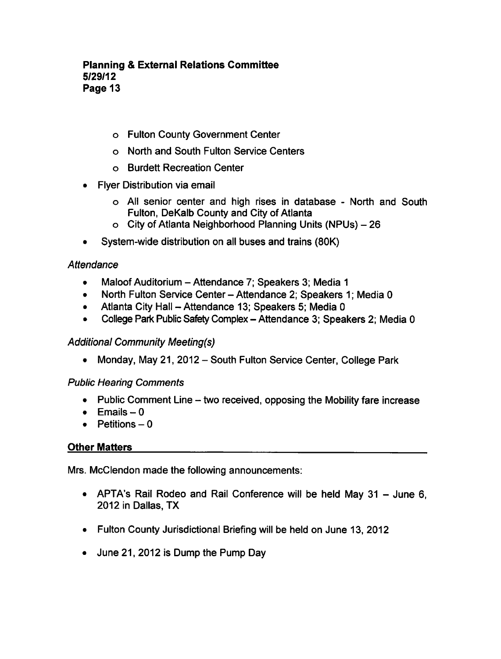# Planning External Relations Committee 5/29/12 Page 13

- Fulton County Government Center
- North and South Fulton Service Centers
- Burdett Recreation Center
- Flyer Distribution via email
	- o All senior center and high rises in database North and South Fulton, DeKalb County and City of Atlanta
	- o City of Atlanta Neighborhood Planning Units (NPUs) 26
- System-wide distribution on all buses and trains (80K)  $\bullet$

### **Attendance**

- Maloof Auditorium Attendance 7: Speakers 3: Media 1  $\bullet$
- North Fulton Service Center Attendance 2; Speakers 1; Media 0  $\bullet$
- Atlanta City Hall Attendance 13; Speakers 5: Media 0  $\bullet$
- $\bullet$ College Park Public Safety Complex - Attendance 3; Speakers 2; Media 0

### Additional Community Meeting(s)

• Monday, May 21, 2012 – South Fulton Service Center, College Park

### Public Hearing Comments

- Public Comment Line  $-$  two received, opposing the Mobility fare increase
- $\bullet$  Emails 0
- $\bullet$  Petitions  $-0$

### Other Matters

Mrs. McClendon made the following announcements:

- APTA's Rail Rodeo and Rail Conference will be held May  $31 -$  June 6, 2012 in Dallas, TX
- Fulton County Jurisdictional Briefing will be held on June 13, 2012
- June 21, 2012 is Dump the Pump Day